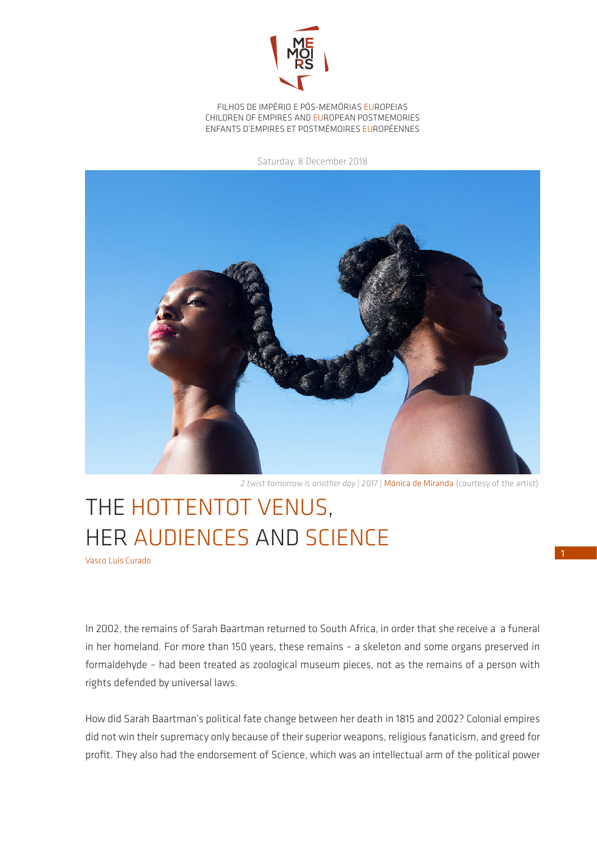

FILHOS DE IMPÉRIO E PÓS-MEMÓRIAS EUROPEIAS CHILDREN OF EMPIRES AND EUROPEAN POSTMEMORIES ENFANTS D'EMPIRES ET POSTMÉMOIRES EUROPÉENNES

Saturday, 8 December 2018



*2 twist tomorrow is another day* | 2017 | Mónica de Miranda (courtesy of the artist)

## THE HOTTENTOT VENUS, HER AUDIENCES AND SCIENCE

Vasco Luís Curado

In 2002, the remains of Sarah Baartman returned to South Africa, in order that she receive a a funeral in her homeland. For more than 150 years, these remains – a skeleton and some organs preserved in formaldehyde – had been treated as zoological museum pieces, not as the remains of a person with rights defended by universal laws.

How did Sarah Baartman's political fate change between her death in 1815 and 2002? Colonial empires did not win their supremacy only because of their superior weapons, religious fanaticism, and greed for profit. They also had the endorsement of Science, which was an intellectual arm of the political power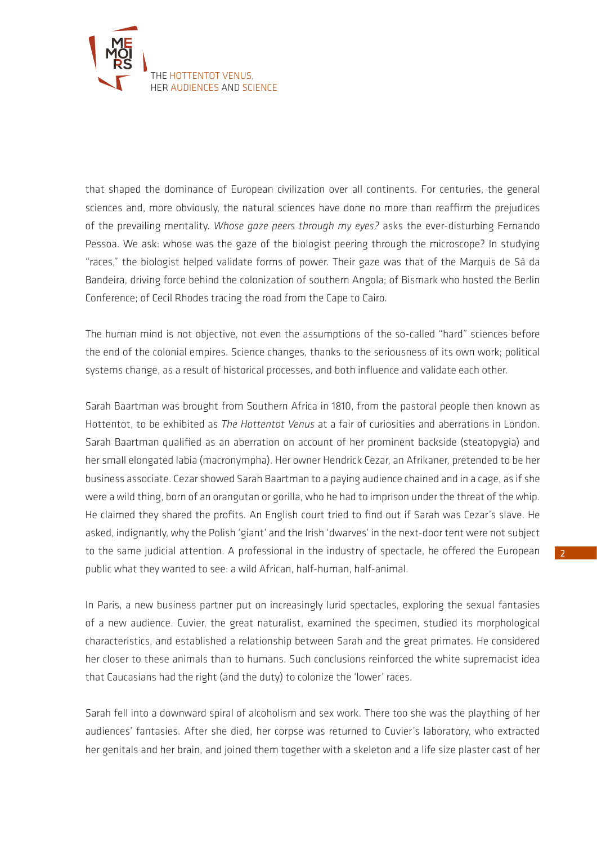

that shaped the dominance of European civilization over all continents. For centuries, the general sciences and, more obviously, the natural sciences have done no more than reaffirm the prejudices of the prevailing mentality. *Whose gaze peers through my eyes?* asks the ever-disturbing Fernando Pessoa. We ask: whose was the gaze of the biologist peering through the microscope? In studying "races," the biologist helped validate forms of power. Their gaze was that of the Marquis de Sá da Bandeira, driving force behind the colonization of southern Angola; of Bismark who hosted the Berlin Conference; of Cecil Rhodes tracing the road from the Cape to Cairo.

The human mind is not objective, not even the assumptions of the so-called "hard" sciences before the end of the colonial empires. Science changes, thanks to the seriousness of its own work; political systems change, as a result of historical processes, and both influence and validate each other.

Sarah Baartman was brought from Southern Africa in 1810, from the pastoral people then known as Hottentot, to be exhibited as *The Hottentot Venus* at a fair of curiosities and aberrations in London. Sarah Baartman qualified as an aberration on account of her prominent backside (steatopygia) and her small elongated labia (macronympha). Her owner Hendrick Cezar, an Afrikaner, pretended to be her business associate. Cezar showed Sarah Baartman to a paying audience chained and in a cage, as if she were a wild thing, born of an orangutan or gorilla, who he had to imprison under the threat of the whip. He claimed they shared the profits. An English court tried to find out if Sarah was Cezar's slave. He asked, indignantly, why the Polish 'giant' and the Irish 'dwarves' in the next-door tent were not subject to the same judicial attention. A professional in the industry of spectacle, he offered the European public what they wanted to see: a wild African, half-human, half-animal.

In Paris, a new business partner put on increasingly lurid spectacles, exploring the sexual fantasies of a new audience. Cuvier, the great naturalist, examined the specimen, studied its morphological characteristics, and established a relationship between Sarah and the great primates. He considered her closer to these animals than to humans. Such conclusions reinforced the white supremacist idea that Caucasians had the right (and the duty) to colonize the 'lower' races.

Sarah fell into a downward spiral of alcoholism and sex work. There too she was the plaything of her audiences' fantasies. After she died, her corpse was returned to Cuvier's laboratory, who extracted her genitals and her brain, and joined them together with a skeleton and a life size plaster cast of her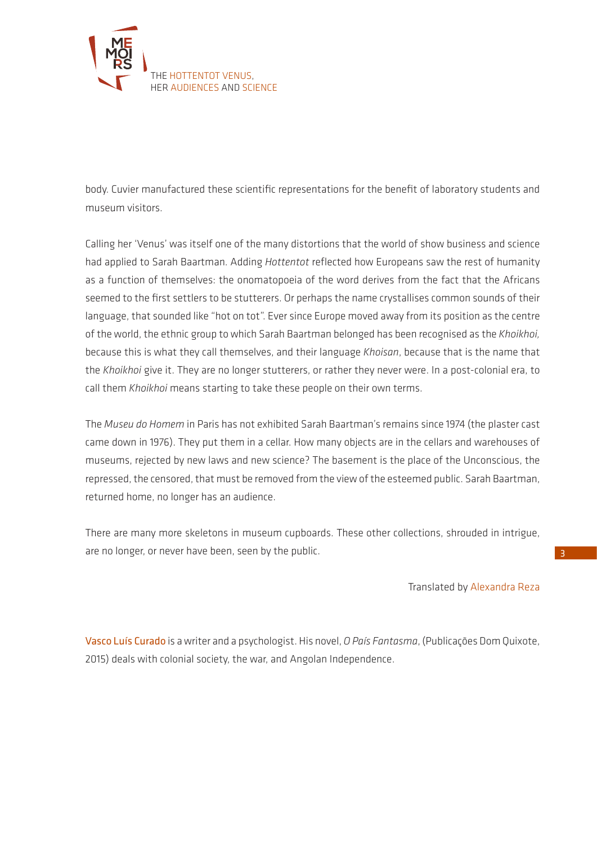

body. Cuvier manufactured these scientific representations for the benefit of laboratory students and museum visitors.

Calling her 'Venus' was itself one of the many distortions that the world of show business and science had applied to Sarah Baartman. Adding *Hottentot* reflected how Europeans saw the rest of humanity as a function of themselves: the onomatopoeia of the word derives from the fact that the Africans seemed to the first settlers to be stutterers. Or perhaps the name crystallises common sounds of their language, that sounded like "hot on tot". Ever since Europe moved away from its position as the centre of the world, the ethnic group to which Sarah Baartman belonged has been recognised as the *Khoikhoi,*  because this is what they call themselves, and their language *Khoisan*, because that is the name that the *Khoikhoi* give it. They are no longer stutterers, or rather they never were. In a post-colonial era, to call them *Khoikhoi* means starting to take these people on their own terms.

The *Museu do Homem* in Paris has not exhibited Sarah Baartman's remains since 1974 (the plaster cast came down in 1976). They put them in a cellar. How many objects are in the cellars and warehouses of museums, rejected by new laws and new science? The basement is the place of the Unconscious, the repressed, the censored, that must be removed from the view of the esteemed public. Sarah Baartman, returned home, no longer has an audience.

There are many more skeletons in museum cupboards. These other collections, shrouded in intrigue, are no longer, or never have been, seen by the public.

Translated by Alexandra Reza

Vasco Luís Curado is a writer and a psychologist. His novel, *O País Fantasma*, (Publicações Dom Quixote, 2015) deals with colonial society, the war, and Angolan Independence.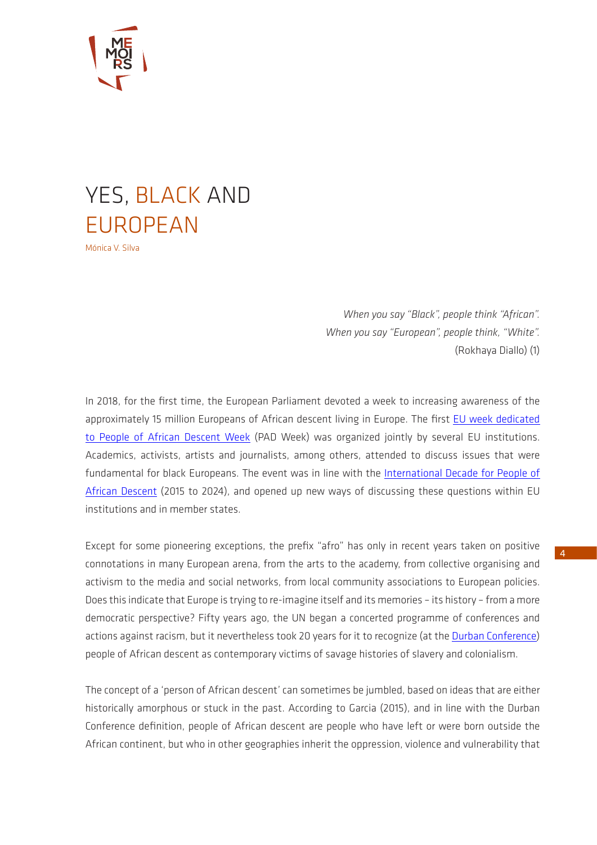

## YES, BLACK AND EUROPEAN Mónica V. Silva

*When you say "Black", people think "African". When you say "European", people think, "White".* (Rokhaya Diallo) (1)

In 2018, for the first time, the European Parliament devoted a week to increasing awareness of the approximately 15 million Europeans of African descent living in Europe. The first [EU week dedicated](https://ec.europa.eu/migrant-integration/news/europe-first-eu-week-dedicated-to-people-of-african-descent)  [to People of African Descent Week](https://ec.europa.eu/migrant-integration/news/europe-first-eu-week-dedicated-to-people-of-african-descent) (PAD Week) was organized jointly by several EU institutions. Academics, activists, artists and journalists, among others, attended to discuss issues that were fundamental for black Europeans. The event was in line with the [International Decade for People of](http://www.un.org/en/events/africandescentdecade/index.shtml)  [African Descent](http://www.un.org/en/events/africandescentdecade/index.shtml) (2015 to 2024), and opened up new ways of discussing these questions within EU institutions and in member states.

Except for some pioneering exceptions, the prefix "afro" has only in recent years taken on positive connotations in many European arena, from the arts to the academy, from collective organising and activism to the media and social networks, from local community associations to European policies. Does this indicate that Europe is trying to re-imagine itself and its memories – its history – from a more democratic perspective? Fifty years ago, the UN began a concerted programme of conferences and actions against racism, but it nevertheless took 20 years for it to recognize (at the [Durban Conference](http://www.un.org/en/durbanreview2009/pdf/DDPA_full_text.pdf)) people of African descent as contemporary victims of savage histories of slavery and colonialism.

The concept of a 'person of African descent' can sometimes be jumbled, based on ideas that are either historically amorphous or stuck in the past. According to Garcia (2015), and in line with the Durban Conference definition, people of African descent are people who have left or were born outside the African continent, but who in other geographies inherit the oppression, violence and vulnerability that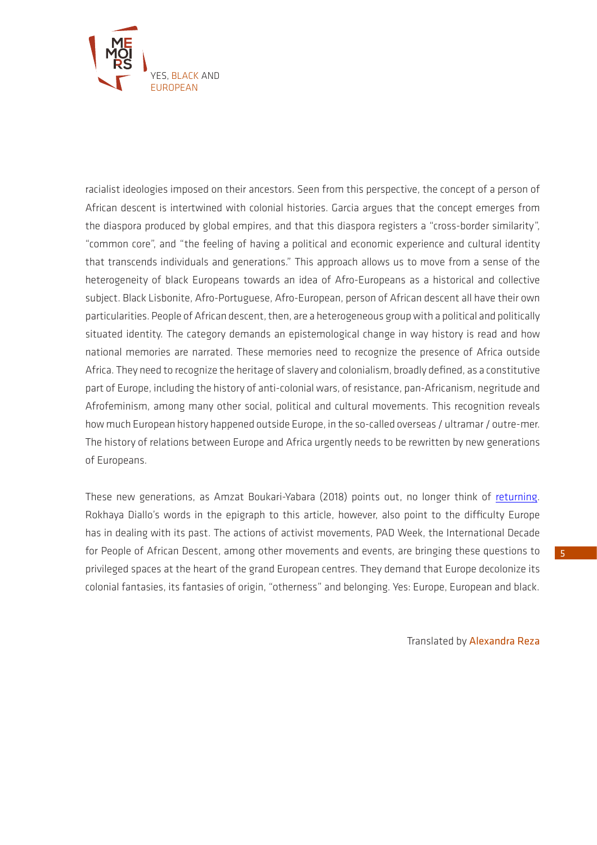

racialist ideologies imposed on their ancestors. Seen from this perspective, the concept of a person of African descent is intertwined with colonial histories. Garcia argues that the concept emerges from the diaspora produced by global empires, and that this diaspora registers a "cross-border similarity", "common core", and "the feeling of having a political and economic experience and cultural identity that transcends individuals and generations." This approach allows us to move from a sense of the heterogeneity of black Europeans towards an idea of Afro-Europeans as a historical and collective subject. Black Lisbonite, Afro-Portuguese, Afro-European, person of African descent all have their own particularities. People of African descent, then, are a heterogeneous group with a political and politically situated identity. The category demands an epistemological change in way history is read and how national memories are narrated. These memories need to recognize the presence of Africa outside Africa. They need to recognize the heritage of slavery and colonialism, broadly defined, as a constitutive part of Europe, including the history of anti-colonial wars, of resistance, pan-Africanism, negritude and Afrofeminism, among many other social, political and cultural movements. This recognition reveals how much European history happened outside Europe, in the so-called overseas / ultramar / outre-mer. The history of relations between Europe and Africa urgently needs to be rewritten by new generations of Europeans.

These new generations, as Amzat Boukari-Yabara (2018) points out, no longer think of [returning.](http://memoirs.ces.uc.pt/ficheiros/4_RESULTS_AND_IMPACT/4.3_NEWSLETTER/MEMOIRS_ENCARTE_web.pdf) Rokhaya Diallo's words in the epigraph to this article, however, also point to the difficulty Europe has in dealing with its past. The actions of activist movements, PAD Week, the International Decade for People of African Descent, among other movements and events, are bringing these questions to privileged spaces at the heart of the grand European centres. They demand that Europe decolonize its colonial fantasies, its fantasies of origin, "otherness" and belonging. Yes: Europe, European and black.

Translated by Alexandra Reza